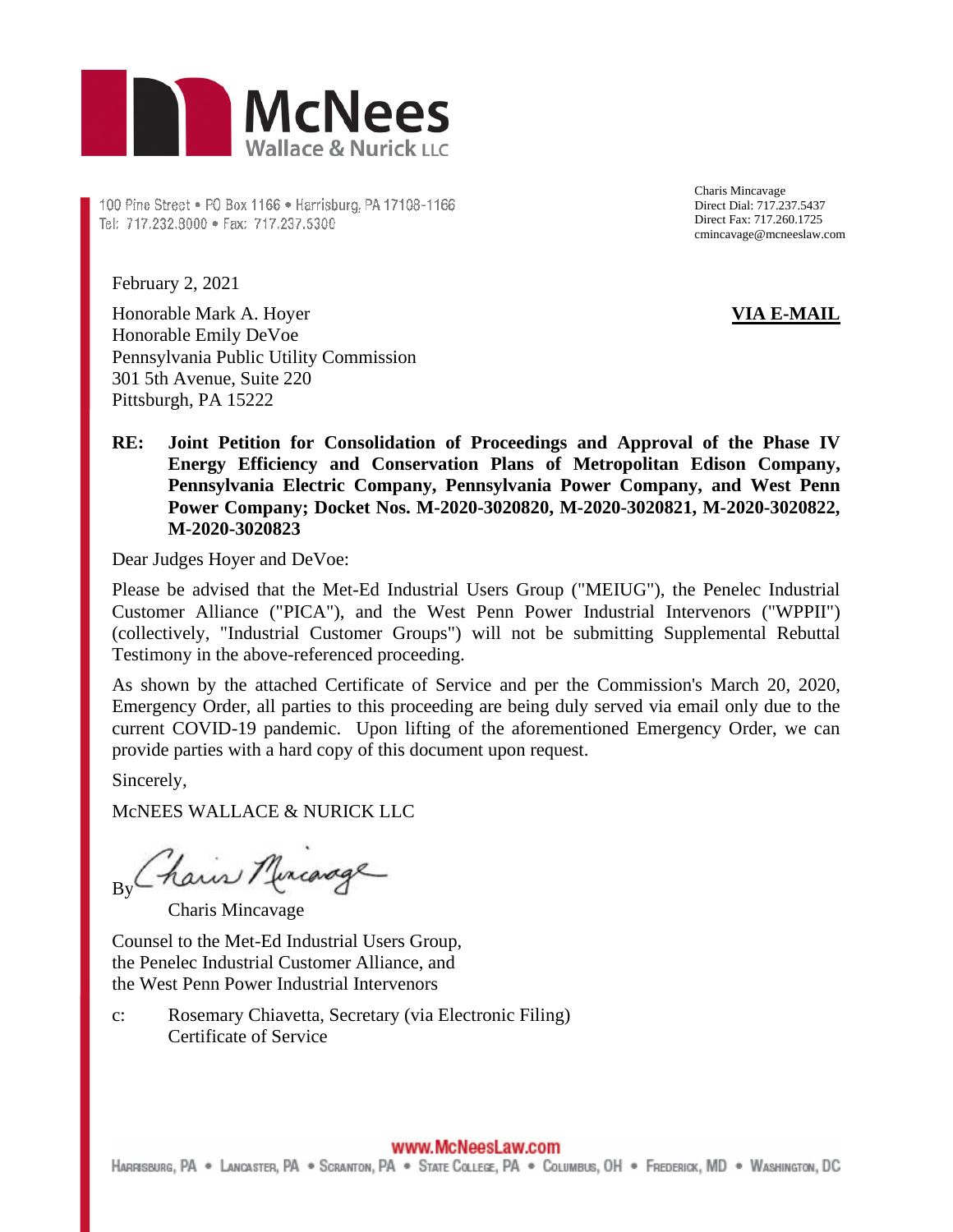

100 Pine Street . P0 Box 1166 . Harrisburg, PA 17108-1166 Tel: 717.232.8000 · Fax: 717.237.5300

Charis Mincavage Direct Dial: 717.237.5437 Direct Fax: 717.260.1725 cmincavage@mcneeslaw.com

February 2, 2021

Honorable Mark A. Hoyer Honorable Emily DeVoe Pennsylvania Public Utility Commission 301 5th Avenue, Suite 220 Pittsburgh, PA 15222

## **VIA E-MAIL**

**RE: Joint Petition for Consolidation of Proceedings and Approval of the Phase IV Energy Efficiency and Conservation Plans of Metropolitan Edison Company, Pennsylvania Electric Company, Pennsylvania Power Company, and West Penn Power Company; Docket Nos. M-2020-3020820, M-2020-3020821, M-2020-3020822, M-2020-3020823** 

Dear Judges Hoyer and DeVoe:

Please be advised that the Met-Ed Industrial Users Group ("MEIUG"), the Penelec Industrial Customer Alliance ("PICA"), and the West Penn Power Industrial Intervenors ("WPPII") (collectively, "Industrial Customer Groups") will not be submitting Supplemental Rebuttal Testimony in the above-referenced proceeding.

As shown by the attached Certificate of Service and per the Commission's March 20, 2020, Emergency Order, all parties to this proceeding are being duly served via email only due to the current COVID-19 pandemic. Upon lifting of the aforementioned Emergency Order, we can provide parties with a hard copy of this document upon request.

Sincerely,

McNEES WALLACE & NURICK LLC

By Chain Miriage

Charis Mincavage

Counsel to the Met-Ed Industrial Users Group, the Penelec Industrial Customer Alliance, and the West Penn Power Industrial Intervenors

c: Rosemary Chiavetta, Secretary (via Electronic Filing) Certificate of Service